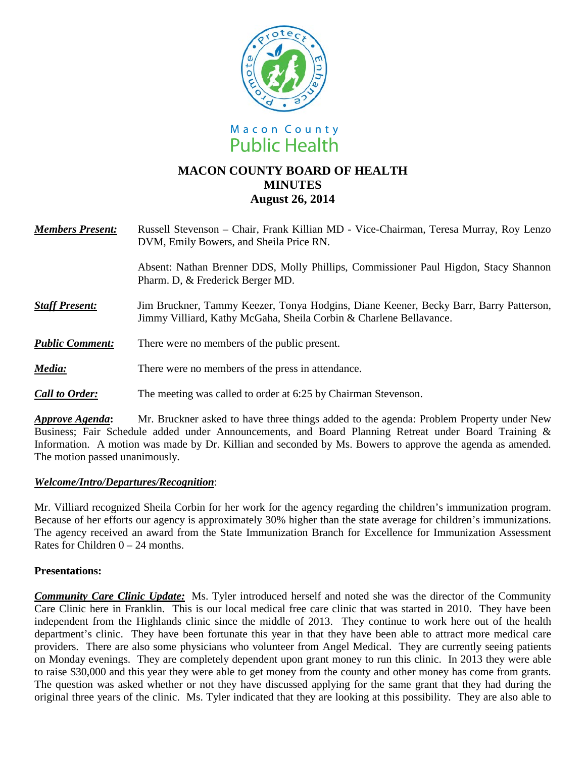



# **MACON COUNTY BOARD OF HEALTH MINUTES August 26, 2014**

| <b>Members Present:</b> | Russell Stevenson – Chair, Frank Killian MD - Vice-Chairman, Teresa Murray, Roy Lenzo<br>DVM, Emily Bowers, and Sheila Price RN.                            |
|-------------------------|-------------------------------------------------------------------------------------------------------------------------------------------------------------|
|                         | Absent: Nathan Brenner DDS, Molly Phillips, Commissioner Paul Higdon, Stacy Shannon<br>Pharm. D, & Frederick Berger MD.                                     |
| <b>Staff Present:</b>   | Jim Bruckner, Tammy Keezer, Tonya Hodgins, Diane Keener, Becky Barr, Barry Patterson,<br>Jimmy Villiard, Kathy McGaha, Sheila Corbin & Charlene Bellavance. |
| <b>Public Comment:</b>  | There were no members of the public present.                                                                                                                |
| Media:                  | There were no members of the press in attendance.                                                                                                           |
| <b>Call to Order:</b>   | The meeting was called to order at 6:25 by Chairman Stevenson.                                                                                              |

*Approve Agenda***:** Mr. Bruckner asked to have three things added to the agenda: Problem Property under New Business; Fair Schedule added under Announcements, and Board Planning Retreat under Board Training & Information. A motion was made by Dr. Killian and seconded by Ms. Bowers to approve the agenda as amended. The motion passed unanimously.

## *Welcome/Intro/Departures/Recognition*:

Mr. Villiard recognized Sheila Corbin for her work for the agency regarding the children's immunization program. Because of her efforts our agency is approximately 30% higher than the state average for children's immunizations. The agency received an award from the State Immunization Branch for Excellence for Immunization Assessment Rates for Children  $0 - 24$  months.

## **Presentations:**

*Community Care Clinic Update:* Ms. Tyler introduced herself and noted she was the director of the Community Care Clinic here in Franklin. This is our local medical free care clinic that was started in 2010. They have been independent from the Highlands clinic since the middle of 2013. They continue to work here out of the health department's clinic. They have been fortunate this year in that they have been able to attract more medical care providers. There are also some physicians who volunteer from Angel Medical. They are currently seeing patients on Monday evenings. They are completely dependent upon grant money to run this clinic. In 2013 they were able to raise \$30,000 and this year they were able to get money from the county and other money has come from grants. The question was asked whether or not they have discussed applying for the same grant that they had during the original three years of the clinic. Ms. Tyler indicated that they are looking at this possibility. They are also able to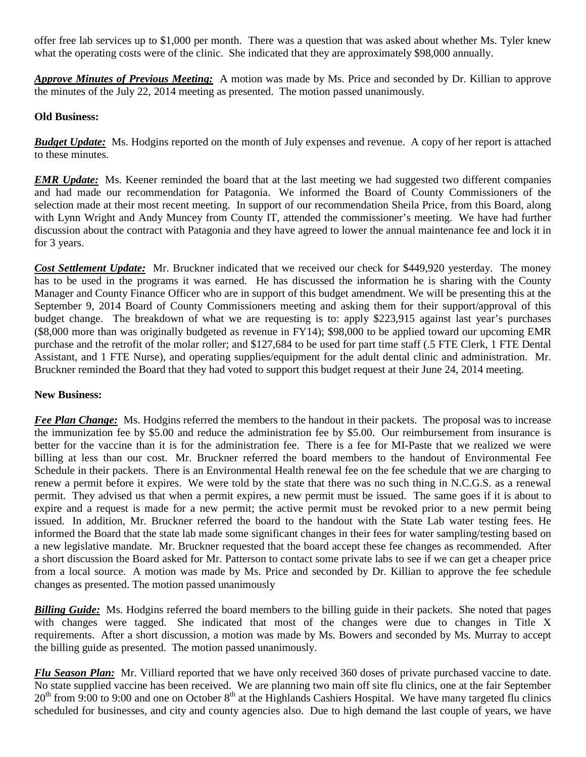offer free lab services up to \$1,000 per month. There was a question that was asked about whether Ms. Tyler knew what the operating costs were of the clinic. She indicated that they are approximately \$98,000 annually.

*Approve Minutes of Previous Meeting:* A motion was made by Ms. Price and seconded by Dr. Killian to approve the minutes of the July 22, 2014 meeting as presented. The motion passed unanimously.

## **Old Business:**

*Budget Update:* Ms. Hodgins reported on the month of July expenses and revenue. A copy of her report is attached to these minutes.

*EMR Update:* Ms. Keener reminded the board that at the last meeting we had suggested two different companies and had made our recommendation for Patagonia. We informed the Board of County Commissioners of the selection made at their most recent meeting. In support of our recommendation Sheila Price, from this Board, along with Lynn Wright and Andy Muncey from County IT, attended the commissioner's meeting. We have had further discussion about the contract with Patagonia and they have agreed to lower the annual maintenance fee and lock it in for 3 years.

*Cost Settlement Update:* Mr. Bruckner indicated that we received our check for \$449,920 yesterday. The money has to be used in the programs it was earned. He has discussed the information he is sharing with the County Manager and County Finance Officer who are in support of this budget amendment. We will be presenting this at the September 9, 2014 Board of County Commissioners meeting and asking them for their support/approval of this budget change. The breakdown of what we are requesting is to: apply \$223,915 against last year's purchases (\$8,000 more than was originally budgeted as revenue in FY14); \$98,000 to be applied toward our upcoming EMR purchase and the retrofit of the molar roller; and \$127,684 to be used for part time staff (.5 FTE Clerk, 1 FTE Dental Assistant, and 1 FTE Nurse), and operating supplies/equipment for the adult dental clinic and administration. Mr. Bruckner reminded the Board that they had voted to support this budget request at their June 24, 2014 meeting.

## **New Business:**

*Fee Plan Change:* Ms. Hodgins referred the members to the handout in their packets. The proposal was to increase the immunization fee by \$5.00 and reduce the administration fee by \$5.00. Our reimbursement from insurance is better for the vaccine than it is for the administration fee. There is a fee for MI-Paste that we realized we were billing at less than our cost. Mr. Bruckner referred the board members to the handout of Environmental Fee Schedule in their packets. There is an Environmental Health renewal fee on the fee schedule that we are charging to renew a permit before it expires. We were told by the state that there was no such thing in N.C.G.S. as a renewal permit. They advised us that when a permit expires, a new permit must be issued. The same goes if it is about to expire and a request is made for a new permit; the active permit must be revoked prior to a new permit being issued. In addition, Mr. Bruckner referred the board to the handout with the State Lab water testing fees. He informed the Board that the state lab made some significant changes in their fees for water sampling/testing based on a new legislative mandate. Mr. Bruckner requested that the board accept these fee changes as recommended. After a short discussion the Board asked for Mr. Patterson to contact some private labs to see if we can get a cheaper price from a local source. A motion was made by Ms. Price and seconded by Dr. Killian to approve the fee schedule changes as presented. The motion passed unanimously

*Billing Guide:* Ms. Hodgins referred the board members to the billing guide in their packets. She noted that pages with changes were tagged. She indicated that most of the changes were due to changes in Title X requirements. After a short discussion, a motion was made by Ms. Bowers and seconded by Ms. Murray to accept the billing guide as presented. The motion passed unanimously.

*Flu Season Plan:* Mr. Villiard reported that we have only received 360 doses of private purchased vaccine to date. No state supplied vaccine has been received. We are planning two main off site flu clinics, one at the fair September  $20<sup>th</sup>$  from 9:00 to 9:00 and one on October 8<sup>th</sup> at the Highlands Cashiers Hospital. We have many targeted flu clinics scheduled for businesses, and city and county agencies also. Due to high demand the last couple of years, we have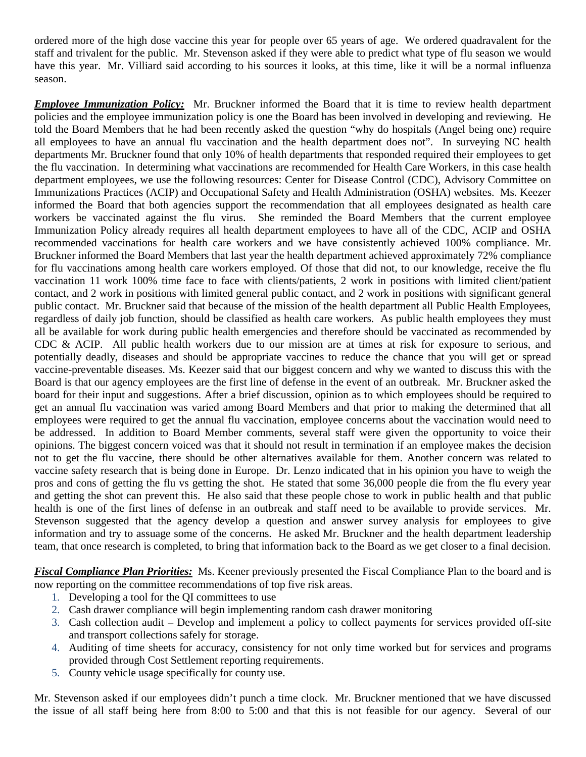ordered more of the high dose vaccine this year for people over 65 years of age. We ordered quadravalent for the staff and trivalent for the public. Mr. Stevenson asked if they were able to predict what type of flu season we would have this year. Mr. Villiard said according to his sources it looks, at this time, like it will be a normal influenza season.

*Employee Immunization Policy:* Mr. Bruckner informed the Board that it is time to review health department policies and the employee immunization policy is one the Board has been involved in developing and reviewing. He told the Board Members that he had been recently asked the question "why do hospitals (Angel being one) require all employees to have an annual flu vaccination and the health department does not". In surveying NC health departments Mr. Bruckner found that only 10% of health departments that responded required their employees to get the flu vaccination. In determining what vaccinations are recommended for Health Care Workers, in this case health department employees, we use the following resources: Center for Disease Control (CDC), Advisory Committee on Immunizations Practices (ACIP) and Occupational Safety and Health Administration (OSHA) websites. Ms. Keezer informed the Board that both agencies support the recommendation that all employees designated as health care workers be vaccinated against the flu virus. She reminded the Board Members that the current employee Immunization Policy already requires all health department employees to have all of the CDC, ACIP and OSHA recommended vaccinations for health care workers and we have consistently achieved 100% compliance. Mr. Bruckner informed the Board Members that last year the health department achieved approximately 72% compliance for flu vaccinations among health care workers employed. Of those that did not, to our knowledge, receive the flu vaccination 11 work 100% time face to face with clients/patients, 2 work in positions with limited client/patient contact, and 2 work in positions with limited general public contact, and 2 work in positions with significant general public contact. Mr. Bruckner said that because of the mission of the health department all Public Health Employees, regardless of daily job function, should be classified as health care workers. As public health employees they must all be available for work during public health emergencies and therefore should be vaccinated as recommended by CDC & ACIP. All public health workers due to our mission are at times at risk for exposure to serious, and potentially deadly, diseases and should be appropriate vaccines to reduce the chance that you will get or spread vaccine-preventable diseases. Ms. Keezer said that our biggest concern and why we wanted to discuss this with the Board is that our agency employees are the first line of defense in the event of an outbreak. Mr. Bruckner asked the board for their input and suggestions. After a brief discussion, opinion as to which employees should be required to get an annual flu vaccination was varied among Board Members and that prior to making the determined that all employees were required to get the annual flu vaccination, employee concerns about the vaccination would need to be addressed. In addition to Board Member comments, several staff were given the opportunity to voice their opinions. The biggest concern voiced was that it should not result in termination if an employee makes the decision not to get the flu vaccine, there should be other alternatives available for them. Another concern was related to vaccine safety research that is being done in Europe. Dr. Lenzo indicated that in his opinion you have to weigh the pros and cons of getting the flu vs getting the shot. He stated that some 36,000 people die from the flu every year and getting the shot can prevent this. He also said that these people chose to work in public health and that public health is one of the first lines of defense in an outbreak and staff need to be available to provide services. Mr. Stevenson suggested that the agency develop a question and answer survey analysis for employees to give information and try to assuage some of the concerns. He asked Mr. Bruckner and the health department leadership team, that once research is completed, to bring that information back to the Board as we get closer to a final decision.

*Fiscal Compliance Plan Priorities:* Ms. Keener previously presented the Fiscal Compliance Plan to the board and is now reporting on the committee recommendations of top five risk areas.

- 1. Developing a tool for the QI committees to use
- 2. Cash drawer compliance will begin implementing random cash drawer monitoring
- 3. Cash collection audit Develop and implement a policy to collect payments for services provided off-site and transport collections safely for storage.
- 4. Auditing of time sheets for accuracy, consistency for not only time worked but for services and programs provided through Cost Settlement reporting requirements.
- 5. County vehicle usage specifically for county use.

Mr. Stevenson asked if our employees didn't punch a time clock. Mr. Bruckner mentioned that we have discussed the issue of all staff being here from 8:00 to 5:00 and that this is not feasible for our agency. Several of our